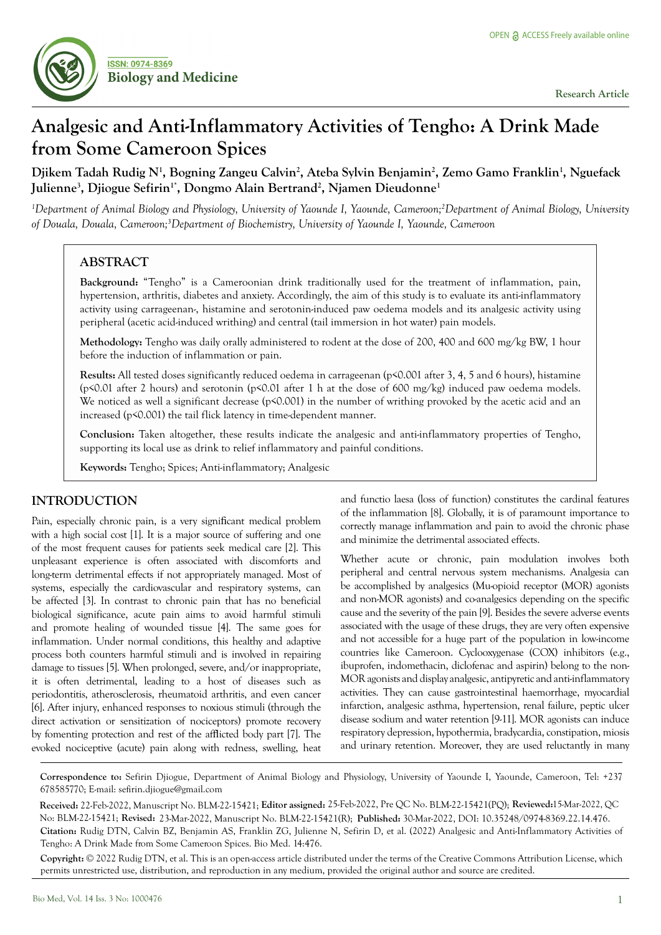

# **Analgesic and Anti-Inflammatory Activities of Tengho: A Drink Made from Some Cameroon Spices**

**Djikem Tadah Rudig N1 , Bogning Zangeu Calvin2 , Ateba Sylvin Benjamin2 , Zemo Gamo Franklin1 , Nguefack**  Julienne<sup>3</sup>, Djiogue Sefirin<sup>1\*</sup>, Dongmo Alain Bertrand<sup>2</sup>, Njamen Dieudonne<sup>1</sup>

*1 Department of Animal Biology and Physiology, University of Yaounde I, Yaounde, Cameroon;2 Department of Animal Biology, University of Douala, Douala, Cameroon;3 Department of Biochemistry, University of Yaounde I, Yaounde, Cameroon*

# **ABSTRACT**

**Background:** "Tengho" is a Cameroonian drink traditionally used for the treatment of inflammation, pain, hypertension, arthritis, diabetes and anxiety. Accordingly, the aim of this study is to evaluate its anti-inflammatory activity using carrageenan-, histamine and serotonin-induced paw oedema models and its analgesic activity using peripheral (acetic acid-induced writhing) and central (tail immersion in hot water) pain models.

**Methodology:** Tengho was daily orally administered to rodent at the dose of 200, 400 and 600 mg/kg BW, 1 hour before the induction of inflammation or pain.

**Results:** All tested doses significantly reduced oedema in carrageenan (p<0.001 after 3, 4, 5 and 6 hours), histamine (p<0.01 after 2 hours) and serotonin (p<0.01 after 1 h at the dose of 600 mg/kg) induced paw oedema models. We noticed as well a significant decrease (p<0.001) in the number of writhing provoked by the acetic acid and an increased (p<0.001) the tail flick latency in time-dependent manner.

**Conclusion:** Taken altogether, these results indicate the analgesic and anti-inflammatory properties of Tengho, supporting its local use as drink to relief inflammatory and painful conditions.

**Keywords:** Tengho; Spices; Anti-inflammatory; Analgesic

# **INTRODUCTION**

Pain, especially chronic pain, is a very significant medical problem with a high social cost [1]. It is a major source of suffering and one of the most frequent causes for patients seek medical care [2]. This unpleasant experience is often associated with discomforts and long-term detrimental effects if not appropriately managed. Most of systems, especially the cardiovascular and respiratory systems, can be affected [3]. In contrast to chronic pain that has no beneficial biological significance, acute pain aims to avoid harmful stimuli and promote healing of wounded tissue [4]. The same goes for inflammation. Under normal conditions, this healthy and adaptive process both counters harmful stimuli and is involved in repairing damage to tissues [5]. When prolonged, severe, and/or inappropriate, it is often detrimental, leading to a host of diseases such as periodontitis, atherosclerosis, rheumatoid arthritis, and even cancer [6]. After injury, enhanced responses to noxious stimuli (through the direct activation or sensitization of nociceptors) promote recovery by fomenting protection and rest of the afflicted body part [7]. The evoked nociceptive (acute) pain along with redness, swelling, heat

and functio laesa (loss of function) constitutes the cardinal features of the inflammation [8]. Globally, it is of paramount importance to correctly manage inflammation and pain to avoid the chronic phase and minimize the detrimental associated effects.

Whether acute or chronic, pain modulation involves both peripheral and central nervous system mechanisms. Analgesia can be accomplished by analgesics (Mu-opioid receptor (MOR) agonists and non-MOR agonists) and co-analgesics depending on the specific cause and the severity of the pain [9]. Besides the severe adverse events associated with the usage of these drugs, they are very often expensive and not accessible for a huge part of the population in low-income countries like Cameroon. Cyclooxygenase (COX) inhibitors (e.g., ibuprofen, indomethacin, diclofenac and aspirin) belong to the non-MOR agonists and display analgesic, antipyretic and anti-inflammatory activities. They can cause gastrointestinal haemorrhage, myocardial infarction, analgesic asthma, hypertension, renal failure, peptic ulcer disease sodium and water retention [9-11]. MOR agonists can induce respiratory depression, hypothermia, bradycardia, constipation, miosis and urinary retention. Moreover, they are used reluctantly in many

**Correspondence to:** Sefirin Djiogue, Department of Animal Biology and Physiology, University of Yaounde I, Yaounde, Cameroon, Tel: +237 678585770; E-mail: sefirin.djiogue@gmail.com

**Received:** 22-Feb-2022, Manuscript No. BLM-22-15421; **Editor assigned: Reviewed:** 15-Mar-2022, QC 25-Feb-2022, Pre QC No. BLM-22-15421(PQ); No: BLM-22-15421; **Revised:** 23-Mar-2022, Manuscript No. BLM-22-15421(R); **Published:** 30-Mar-2022, DOI: 10.35248/0974-8369.22.14.476. **Citation:** Rudig DTN, Calvin BZ, Benjamin AS, Franklin ZG, Julienne N, Sefirin D, et al. (2022) Analgesic and Anti-Inflammatory Activities of Tengho: A Drink Made from Some Cameroon Spices. Bio Med. 14:476.

**Copyright:** © 2022 Rudig DTN, et al. This is an open-access article distributed under the terms of the Creative Commons Attribution License, which permits unrestricted use, distribution, and reproduction in any medium, provided the original author and source are credited.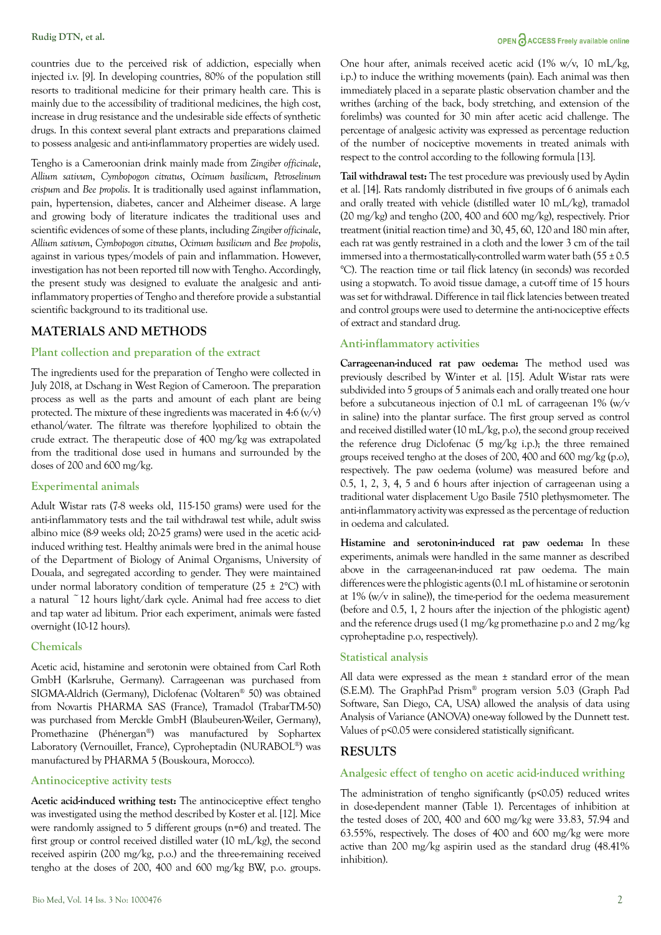countries due to the perceived risk of addiction, especially when injected i.v. [9]. In developing countries, 80% of the population still resorts to traditional medicine for their primary health care. This is mainly due to the accessibility of traditional medicines, the high cost, increase in drug resistance and the undesirable side effects of synthetic drugs. In this context several plant extracts and preparations claimed to possess analgesic and anti-inflammatory properties are widely used.

Tengho is a Cameroonian drink mainly made from *Zingiber officinale*, *Allium sativum*, *Cymbopogon citratus*, *Ocimum basilicum*, *Petroselinum crispum* and *Bee propolis*. It is traditionally used against inflammation, pain, hypertension, diabetes, cancer and Alzheimer disease. A large and growing body of literature indicates the traditional uses and scientific evidences of some of these plants, including *Zingiber officinale*, *Allium sativum*, *Cymbopogon citratus*, *Ocimum basilicum* and *Bee propolis*, against in various types/models of pain and inflammation. However, investigation has not been reported till now with Tengho. Accordingly, the present study was designed to evaluate the analgesic and antiinflammatory properties of Tengho and therefore provide a substantial scientific background to its traditional use.

# **MATERIALS AND METHODS**

### **Plant collection and preparation of the extract**

The ingredients used for the preparation of Tengho were collected in July 2018, at Dschang in West Region of Cameroon. The preparation process as well as the parts and amount of each plant are being protected. The mixture of these ingredients was macerated in 4:6  $(v/v)$ ethanol/water. The filtrate was therefore lyophilized to obtain the crude extract. The therapeutic dose of 400 mg/kg was extrapolated from the traditional dose used in humans and surrounded by the doses of 200 and 600 mg/kg.

#### **Experimental animals**

Adult Wistar rats (7-8 weeks old, 115-150 grams) were used for the anti-inflammatory tests and the tail withdrawal test while, adult swiss albino mice (8-9 weeks old; 20-25 grams) were used in the acetic acidinduced writhing test. Healthy animals were bred in the animal house of the Department of Biology of Animal Organisms, University of Douala, and segregated according to gender. They were maintained under normal laboratory condition of temperature  $(25 \pm 2^{\circ}C)$  with a natural ~12 hours light/dark cycle. Animal had free access to diet and tap water ad libitum. Prior each experiment, animals were fasted overnight (10-12 hours).

#### **Chemicals**

Acetic acid, histamine and serotonin were obtained from Carl Roth GmbH (Karlsruhe, Germany). Carrageenan was purchased from SIGMA-Aldrich (Germany), Diclofenac (Voltaren® 50) was obtained from Novartis PHARMA SAS (France), Tramadol (TrabarTM-50) was purchased from Merckle GmbH (Blaubeuren-Weiler, Germany), Promethazine (Phénergan®) was manufactured by Sophartex Laboratory (Vernouillet, France), Cyproheptadin (NURABOL®) was manufactured by PHARMA 5 (Bouskoura, Morocco).

#### **Antinociceptive activity tests**

**Acetic acid-induced writhing test:** The antinociceptive effect tengho was investigated using the method described by Koster et al. [12]. Mice were randomly assigned to 5 different groups (n=6) and treated. The first group or control received distilled water (10 mL/kg), the second received aspirin (200 mg/kg, p.o.) and the three-remaining received tengho at the doses of 200, 400 and 600 mg/kg BW, p.o. groups.

One hour after, animals received acetic acid (1% w/v, 10 mL/kg, i.p.) to induce the writhing movements (pain). Each animal was then immediately placed in a separate plastic observation chamber and the writhes (arching of the back, body stretching, and extension of the forelimbs) was counted for 30 min after acetic acid challenge. The percentage of analgesic activity was expressed as percentage reduction of the number of nociceptive movements in treated animals with respect to the control according to the following formula [13].

**Tail withdrawal test:** The test procedure was previously used by Aydin et al. [14]. Rats randomly distributed in five groups of 6 animals each and orally treated with vehicle (distilled water 10 mL/kg), tramadol (20 mg/kg) and tengho (200, 400 and 600 mg/kg), respectively. Prior treatment (initial reaction time) and 30, 45, 60, 120 and 180 min after, each rat was gently restrained in a cloth and the lower 3 cm of the tail immersed into a thermostatically-controlled warm water bath  $(55 \pm 0.5$ °C). The reaction time or tail flick latency (in seconds) was recorded using a stopwatch. To avoid tissue damage, a cut-off time of 15 hours was set for withdrawal. Difference in tail flick latencies between treated and control groups were used to determine the anti-nociceptive effects of extract and standard drug.

#### **Anti-inflammatory activities**

**Carrageenan-induced rat paw oedema:** The method used was previously described by Winter et al. [15]. Adult Wistar rats were subdivided into 5 groups of 5 animals each and orally treated one hour before a subcutaneous injection of 0.1 mL of carrageenan 1% (w/v in saline) into the plantar surface. The first group served as control and received distilled water (10 mL/kg, p.o), the second group received the reference drug Diclofenac (5 mg/kg i.p.); the three remained groups received tengho at the doses of 200, 400 and 600 mg/kg (p.o), respectively. The paw oedema (volume) was measured before and 0.5, 1, 2, 3, 4, 5 and 6 hours after injection of carrageenan using a traditional water displacement Ugo Basile 7510 plethysmometer. The anti-inflammatory activity was expressed as the percentage of reduction in oedema and calculated.

**Histamine and serotonin-induced rat paw oedema:** In these experiments, animals were handled in the same manner as described above in the carrageenan-induced rat paw oedema. The main differences were the phlogistic agents (0.1 mL of histamine or serotonin at 1% (w/v in saline)), the time-period for the oedema measurement (before and 0.5, 1, 2 hours after the injection of the phlogistic agent) and the reference drugs used (1 mg/kg promethazine p.o and 2 mg/kg cyproheptadine p.o, respectively).

#### **Statistical analysis**

All data were expressed as the mean ± standard error of the mean (S.E.M). The GraphPad Prism® program version 5.03 (Graph Pad Software, San Diego, CA, USA) allowed the analysis of data using Analysis of Variance (ANOVA) one-way followed by the Dunnett test. Values of p<0.05 were considered statistically significant.

# **RESULTS**

## **Analgesic effect of tengho on acetic acid-induced writhing**

The administration of tengho significantly  $(p<0.05)$  reduced writes in dose-dependent manner (Table 1). Percentages of inhibition at the tested doses of 200, 400 and 600 mg/kg were 33.83, 57.94 and 63.55%, respectively. The doses of 400 and 600 mg/kg were more active than 200 mg/kg aspirin used as the standard drug (48.41% inhibition).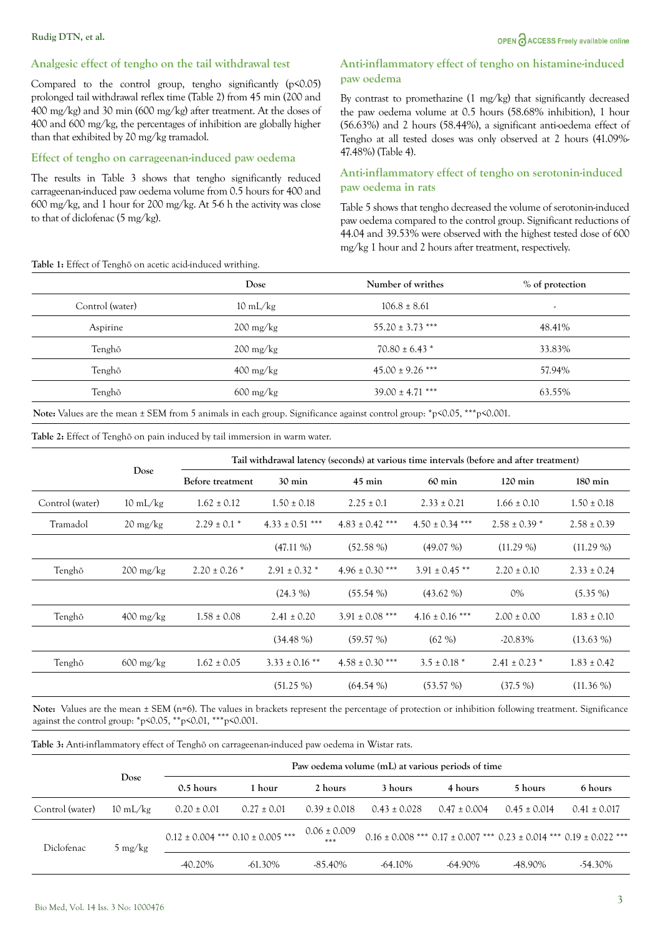## Analgesic effect of tengho on the tail withdrawal test

Compared to the control group, tengho significantly  $(p<0.05)$ prolonged tail withdrawal reflex time (Table 2) from 45 min (200 and 400 mg/kg) and 30 min (600 mg/kg) after treatment. At the doses of  $400$  and  $600$  mg/kg, the percentages of inhibition are globally higher than that exhibited by 20 mg/kg tramadol.

## Effect of tengho on carrageenan-induced paw oedema

The results in Table 3 shows that tengho significantly reduced carrageenan-induced paw oedema volume from 0.5 hours for 400 and 600 mg/kg, and 1 hour for 200 mg/kg. At 5-6 h the activity was close to that of diclofenac  $(5 \text{ mg/kg})$ .

#### Table 1: Effect of Tenghõ on acetic acid-induced writhing.

## Anti-inflammatory effect of tengho on histamine-induced paw oedema

By contrast to promethazine (1 mg/kg) that significantly decreased the paw oedema volume at 0.5 hours (58.68% inhibition), 1 hour (56.63%) and 2 hours (58.44%), a significant anti-oedema effect of Tengho at all tested doses was only observed at 2 hours (41.09%-47.48%) (Table 4).

## Anti-inflammatory effect of tengho on serotonin-induced paw oedema in rats

Table 5 shows that tengho decreased the volume of serotonin-induced paw oedema compared to the control group. Significant reductions of 44.04 and 39.53% were observed with the highest tested dose of 600 mg/kg 1 hour and 2 hours after treatment, respectively.

|                 | Dose                              | Number of writhes    | % of protection          |
|-----------------|-----------------------------------|----------------------|--------------------------|
| Control (water) | $10 \text{ mL/kg}$                | $106.8 \pm 8.61$     | $\overline{\phantom{a}}$ |
| Aspirine        | $200 \frac{\text{mg}}{\text{kg}}$ | $55.20 \pm 3.73$ *** | 48.41%                   |
| Tenghõ          | $200 \frac{\text{mg}}{\text{kg}}$ | $70.80 \pm 6.43$ *   | 33.83%                   |
| Tenghõ          | $400 \frac{\text{mg}}{\text{kg}}$ | $45.00 \pm 9.26$ *** | 57.94%                   |
| Tenghõ          | $600 \text{ mg/kg}$               | $39.00 \pm 4.71$ *** | 63.55%                   |

Note: Values are the mean ± SEM from 5 animals in each group. Significance against control group: \*p<0.05, \*\*\*p<0.001.

Table 2: Effect of Tenghõ on pain induced by tail immersion in warm water.

|                 |                                   | Tail withdrawal latency (seconds) at various time intervals (before and after treatment) |                     |                     |                     |                   |                   |  |
|-----------------|-----------------------------------|------------------------------------------------------------------------------------------|---------------------|---------------------|---------------------|-------------------|-------------------|--|
| Dose            |                                   | Before treatment                                                                         | $30 \text{ min}$    | $45 \text{ min}$    | $60 \text{ min}$    | $120 \text{ min}$ | $180 \text{ min}$ |  |
| Control (water) | $10 \text{ mL/kg}$                | $1.62 \pm 0.12$                                                                          | $1.50 \pm 0.18$     | $2.25 \pm 0.1$      | $2.33 \pm 0.21$     | $1.66 \pm 0.10$   | $1.50 \pm 0.18$   |  |
| Tramadol        | $20 \frac{\text{mg}}{\text{kg}}$  | $2.29 \pm 0.1$ *                                                                         | $4.33 \pm 0.51$ *** | $4.83 \pm 0.42$ *** | $4.50 \pm 0.34$ *** | $2.58 \pm 0.39$ * | $2.58 \pm 0.39$   |  |
|                 |                                   |                                                                                          | $(47.11\%)$         | $(52.58\%)$         | $(49.07\%)$         | $(11.29\%)$       | $(11.29\%)$       |  |
| Tenghõ          | $200 \frac{\text{mg}}{\text{kg}}$ | $2.20 \pm 0.26$ *                                                                        | $2.91 \pm 0.32$ *   | $4.96 \pm 0.30$ *** | $3.91 \pm 0.45$ **  | $2.20 \pm 0.10$   | $2.33 \pm 0.24$   |  |
|                 |                                   |                                                                                          | $(24.3\%)$          | $(55.54\%)$         | $(43.62\% )$        | 0%                | $(5.35\%)$        |  |
| Tenghõ          | $400 \frac{\text{mg}}{\text{kg}}$ | $1.58 \pm 0.08$                                                                          | $2.41 \pm 0.20$     | $3.91 \pm 0.08$ *** | $4.16 \pm 0.16$ *** | $2.00 \pm 0.00$   | $1.83 \pm 0.10$   |  |
|                 |                                   |                                                                                          | $(34.48\%)$         | (59.57%)            | $(62\%)$            | $-20.83\%$        | $(13.63\%)$       |  |
| Tenghõ          | $600 \frac{\text{mg}}{\text{kg}}$ | $1.62 \pm 0.05$                                                                          | $3.33 \pm 0.16$ **  | $4.58 \pm 0.30$ *** | $3.5 \pm 0.18$ *    | $2.41 \pm 0.23$ * | $1.83 \pm 0.42$   |  |
|                 |                                   |                                                                                          | $(51.25\%)$         | $(64.54\%)$         | (53.57%)            | $(37.5\%)$        | $(11.36\%)$       |  |

Note: Values are the mean ± SEM (n=6). The values in brackets represent the percentage of protection or inhibition following treatment. Significance against the control group: \*p<0.05, \*\*p<0.01, \*\*\*p<0.001.

Table 3: Anti-inflammatory effect of Tenghõ on carrageenan-induced paw oedema in Wistar rats.

|                 |                    | Paw oedema volume (mL) at various periods of time |                                           |                         |                  |                  |                  |                                                                                     |
|-----------------|--------------------|---------------------------------------------------|-------------------------------------------|-------------------------|------------------|------------------|------------------|-------------------------------------------------------------------------------------|
|                 | Dose               | $0.5$ hours                                       | 1 hour                                    | 2 hours                 | 3 hours          | 4 hours          | 5 hours          | 6 hours                                                                             |
| Control (water) | $10 \text{ mL/kg}$ | $0.20 \pm 0.01$                                   | $0.27 \pm 0.01$                           | $0.39 \pm 0.018$        | $0.43 \pm 0.028$ | $0.47 \pm 0.004$ | $0.45 \pm 0.014$ | $0.41 \pm 0.017$                                                                    |
| Diclofenac      | 5 mg/ $kg$         |                                                   | $0.12 \pm 0.004$ *** $0.10 \pm 0.005$ *** | $0.06 \pm 0.009$<br>*** |                  |                  |                  | $0.16 \pm 0.008$ *** $0.17 \pm 0.007$ *** $0.23 \pm 0.014$ *** $0.19 \pm 0.022$ *** |
|                 |                    | -40.20%                                           | $-61.30\%$                                | $-85.40\%$              | $-64.10\%$       | $-64.90\%$       | -48.90%          | $-54.30\%$                                                                          |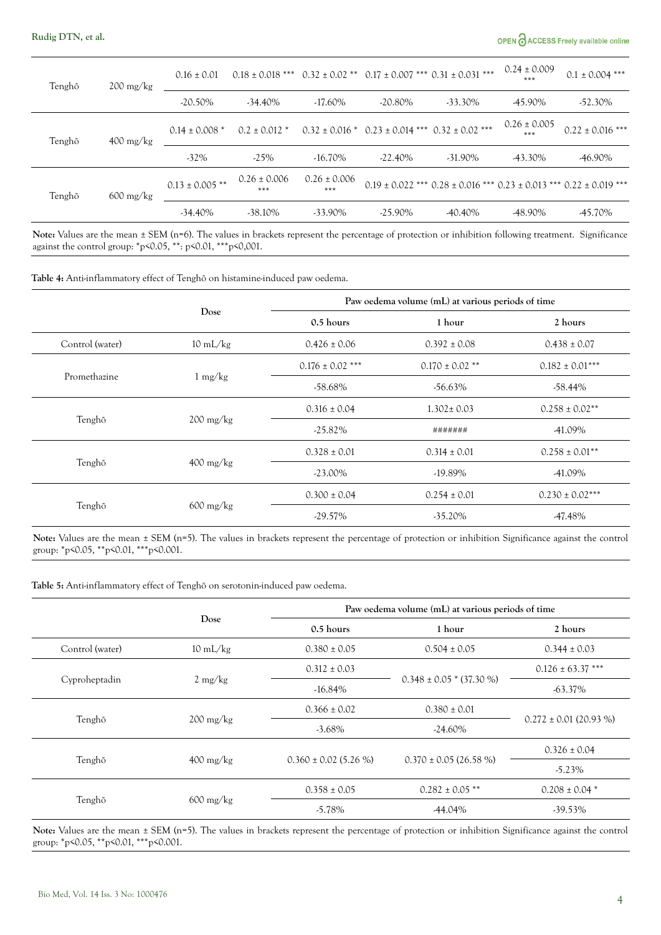# OPEN CACCESS Freely available online

| Tenghõ<br>$200 \frac{\text{mg}}{\text{kg}}$ | $0.16 \pm 0.01$    | $0.18 \pm 0.018$ *** |                         | $0.32 \pm 0.02$ ** $0.17 \pm 0.007$ *** $0.31 \pm 0.031$ *** |            | $0.24 \pm 0.009$<br>*** | $0.1 \pm 0.004$ ***  |                                                                                     |
|---------------------------------------------|--------------------|----------------------|-------------------------|--------------------------------------------------------------|------------|-------------------------|----------------------|-------------------------------------------------------------------------------------|
| Tenghõ<br>$400 \text{ mg/kg}$               | $-20.50\%$         | $-34.40\%$           | $-17.60\%$              | $-20.80\%$                                                   | $-33.30\%$ | -45.90%                 | $-52.30\%$           |                                                                                     |
|                                             | $0.14 \pm 0.008$ * | $0.2 \pm 0.012$ *    |                         | $0.32 \pm 0.016$ * $0.23 \pm 0.014$ *** $0.32 \pm 0.02$ ***  |            | $0.26 \pm 0.005$<br>*** | $0.22 \pm 0.016$ *** |                                                                                     |
| Tenghõ<br>$600 \text{ mg/kg}$               | $-32\%$            | $-25%$               | $-16.70\%$              | $-22.40\%$                                                   | $-31.90\%$ | -43.30%                 | -46.90%              |                                                                                     |
|                                             |                    | $0.13 \pm 0.005$ **  | $0.26 \pm 0.006$<br>*** | $0.26 \pm 0.006$<br>$***$                                    |            |                         |                      | $0.19 \pm 0.022$ *** $0.28 \pm 0.016$ *** $0.23 \pm 0.013$ *** $0.22 \pm 0.019$ *** |
|                                             |                    | $-34.40\%$           | $-38.10\%$              | $-33.90\%$                                                   | $-25.90\%$ | $-40.40\%$              | -48.90%              | -45.70%                                                                             |

Note: Values are the mean ± SEM (n=6). The values in brackets represent the percentage of protection or inhibition following treatment. Significance against the control group: \*p<0.05, \*\*: p<0.01, \*\*\*p<0,001.

Table 4: Anti-inflammatory effect of Tenghõ on histamine-induced paw oedema.

|                 |                                   | Paw oedema volume (mL) at various periods of time |                     |                     |  |  |  |
|-----------------|-----------------------------------|---------------------------------------------------|---------------------|---------------------|--|--|--|
|                 | Dose                              | $0.5$ hours                                       | 1 hour              | 2 hours             |  |  |  |
| Control (water) | $10 \text{ mL/kg}$                | $0.426 \pm 0.06$                                  | $0.392 \pm 0.08$    | $0.438 \pm 0.07$    |  |  |  |
|                 |                                   | $0.176 \pm 0.02$ ***                              | $0.170 \pm 0.02$ ** | $0.182 \pm 0.01***$ |  |  |  |
| Promethazine    | $1 \text{ mg/kg}$                 | -58.68%                                           | $-56.63\%$          | $-58.44\%$          |  |  |  |
|                 |                                   | $0.316 \pm 0.04$                                  | $1.302 \pm 0.03$    | $0.258 \pm 0.02**$  |  |  |  |
| Tenghõ          | $200 \frac{\text{mg}}{\text{kg}}$ | $-25.82\%$                                        | #######             | -41.09%             |  |  |  |
|                 |                                   | $0.328 \pm 0.01$                                  | $0.314 \pm 0.01$    | $0.258 \pm 0.01$ ** |  |  |  |
| Tenghõ          | $400 \text{ mg/kg}$               | $-23.00\%$                                        | $-19.89\%$          | -41.09%             |  |  |  |
|                 |                                   | $0.300 \pm 0.04$                                  | $0.254 \pm 0.01$    | $0.230 \pm 0.02***$ |  |  |  |
| Tenghõ          | $600 \frac{\text{mg}}{\text{kg}}$ | $-29.57\%$                                        | $-35.20\%$          | -47.48%             |  |  |  |

Note: Values are the mean ± SEM (n=5). The values in brackets represent the percentage of protection or inhibition Significance against the control group: \*p<0.05, \*\*p<0.01, \*\*\*p<0.001.

Table 5: Anti-inflammatory effect of Tenghõ on serotonin-induced paw oedema.

|                 |                                   | Paw oedema volume (mL) at various periods of time |                              |                            |  |  |  |
|-----------------|-----------------------------------|---------------------------------------------------|------------------------------|----------------------------|--|--|--|
|                 | Dose                              | 0.5 hours                                         | 1 hour                       | 2 hours                    |  |  |  |
| Control (water) | $10 \text{ mL/kg}$                | $0.380 \pm 0.05$                                  | $0.504 \pm 0.05$             | $0.344 \pm 0.03$           |  |  |  |
|                 |                                   | $0.312 \pm 0.03$                                  |                              | $0.126 \pm 63.37$ ***      |  |  |  |
| Cyproheptadin   | $2 \text{ mg/kg}$                 | $-16.84\%$                                        | $0.348 \pm 0.05$ * (37.30 %) | -63.37%                    |  |  |  |
|                 |                                   | $0.366 \pm 0.02$                                  | $0.380 \pm 0.01$             | $0.272 \pm 0.01$ (20.93 %) |  |  |  |
| Tenghõ          | $200 \frac{\text{mg}}{\text{kg}}$ | $-3.68\%$                                         | $-24.60\%$                   |                            |  |  |  |
|                 |                                   |                                                   |                              | $0.326 \pm 0.04$           |  |  |  |
| Tenghõ          | $400 \text{ mg/kg}$               | $0.360 \pm 0.02$ (5.26 %)                         | $0.370 \pm 0.05$ (26.58 %)   | $-5.23\%$                  |  |  |  |
|                 |                                   | $0.358 \pm 0.05$                                  | $0.282 \pm 0.05$ **          | $0.208 \pm 0.04$ *         |  |  |  |
| Tenghõ          | $600 \text{ mg/kg}$               | $-5.78\%$                                         | -44.04%                      | $-39.53\%$                 |  |  |  |

Note: Values are the mean ± SEM (n=5). The values in brackets represent the percentage of protection or inhibition Significance against the control group: \*p<0.05, \*\*p<0.01, \*\*\*p<0.001.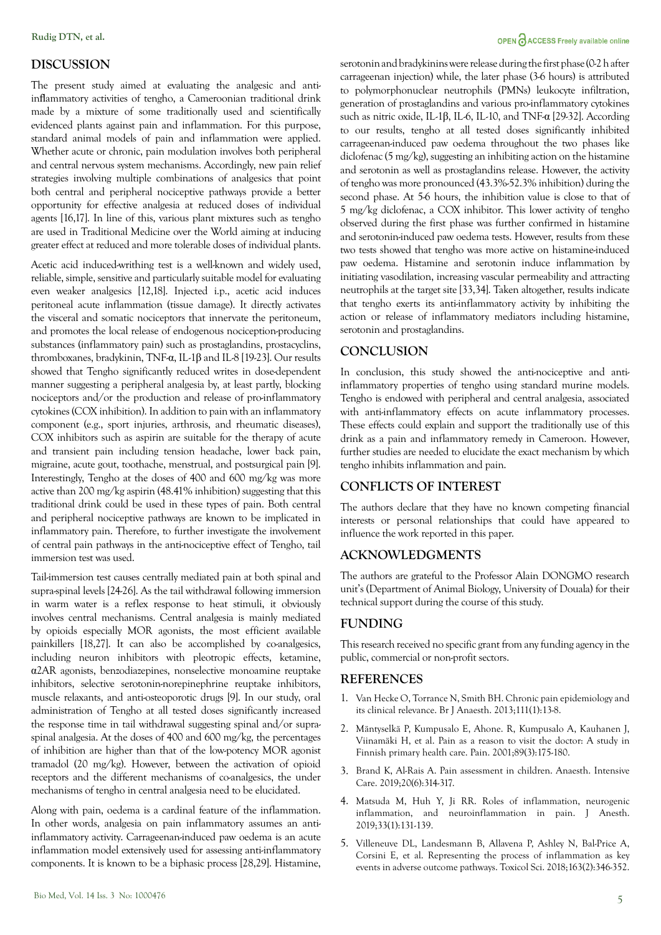## **DISCUSSION**

The present study aimed at evaluating the analgesic and antiinflammatory activities of tengho, a Cameroonian traditional drink made by a mixture of some traditionally used and scientifically evidenced plants against pain and inflammation. For this purpose, standard animal models of pain and inflammation were applied. Whether acute or chronic, pain modulation involves both peripheral and central nervous system mechanisms. Accordingly, new pain relief strategies involving multiple combinations of analgesics that point both central and peripheral nociceptive pathways provide a better opportunity for effective analgesia at reduced doses of individual agents [16,17]. In line of this, various plant mixtures such as tengho are used in Traditional Medicine over the World aiming at inducing greater effect at reduced and more tolerable doses of individual plants.

Acetic acid induced-writhing test is a well-known and widely used, reliable, simple, sensitive and particularly suitable model for evaluating even weaker analgesics [12,18]. Injected i.p., acetic acid induces peritoneal acute inflammation (tissue damage). It directly activates the visceral and somatic nociceptors that innervate the peritoneum, and promotes the local release of endogenous nociception-producing substances (inflammatory pain) such as prostaglandins, prostacyclins, thromboxanes, bradykinin, TNF-α, IL-1β and IL-8 [19-23]. Our results showed that Tengho significantly reduced writes in dose-dependent manner suggesting a peripheral analgesia by, at least partly, blocking nociceptors and/or the production and release of pro-inflammatory cytokines (COX inhibition). In addition to pain with an inflammatory component (e.g., sport injuries, arthrosis, and rheumatic diseases), COX inhibitors such as aspirin are suitable for the therapy of acute and transient pain including tension headache, lower back pain, migraine, acute gout, toothache, menstrual, and postsurgical pain [9]. Interestingly, Tengho at the doses of 400 and 600 mg/kg was more active than 200 mg/kg aspirin (48.41% inhibition) suggesting that this traditional drink could be used in these types of pain. Both central and peripheral nociceptive pathways are known to be implicated in inflammatory pain. Therefore, to further investigate the involvement of central pain pathways in the anti-nociceptive effect of Tengho, tail immersion test was used.

Tail-immersion test causes centrally mediated pain at both spinal and supra-spinal levels [24-26]. As the tail withdrawal following immersion in warm water is a reflex response to heat stimuli, it obviously involves central mechanisms. Central analgesia is mainly mediated by opioids especially MOR agonists, the most efficient available painkillers [18,27]. It can also be accomplished by co-analgesics, including neuron inhibitors with pleotropic effects, ketamine, α2AR agonists, benzodiazepines, nonselective monoamine reuptake inhibitors, selective serotonin-norepinephrine reuptake inhibitors, muscle relaxants, and anti-osteoporotic drugs [9]. In our study, oral administration of Tengho at all tested doses significantly increased the response time in tail withdrawal suggesting spinal and/or supraspinal analgesia. At the doses of 400 and 600 mg/kg, the percentages of inhibition are higher than that of the low-potency MOR agonist tramadol (20 mg/kg). However, between the activation of opioid receptors and the different mechanisms of co-analgesics, the under mechanisms of tengho in central analgesia need to be elucidated.

Along with pain, oedema is a cardinal feature of the inflammation. In other words, analgesia on pain inflammatory assumes an antiinflammatory activity. Carrageenan-induced paw oedema is an acute inflammation model extensively used for assessing anti-inflammatory components. It is known to be a biphasic process [28,29]. Histamine,

# OPEN CACCESS Freely available online

serotonin and bradykinins were release during the first phase (0-2 h after carrageenan injection) while, the later phase (3-6 hours) is attributed to polymorphonuclear neutrophils (PMNs) leukocyte infiltration, generation of prostaglandins and various pro-inflammatory cytokines such as nitric oxide, IL-1β, IL-6, IL-10, and TNF-α [29-32]. According to our results, tengho at all tested doses significantly inhibited carrageenan-induced paw oedema throughout the two phases like diclofenac (5 mg/kg), suggesting an inhibiting action on the histamine and serotonin as well as prostaglandins release. However, the activity of tengho was more pronounced (43.3%-52.3% inhibition) during the second phase. At 5-6 hours, the inhibition value is close to that of 5 mg/kg diclofenac, a COX inhibitor. This lower activity of tengho observed during the first phase was further confirmed in histamine and serotonin-induced paw oedema tests. However, results from these two tests showed that tengho was more active on histamine-induced paw oedema. Histamine and serotonin induce inflammation by initiating vasodilation, increasing vascular permeability and attracting neutrophils at the target site [33,34]. Taken altogether, results indicate that tengho exerts its anti-inflammatory activity by inhibiting the action or release of inflammatory mediators including histamine, serotonin and prostaglandins.

# **CONCLUSION**

In conclusion, this study showed the anti-nociceptive and antiinflammatory properties of tengho using standard murine models. Tengho is endowed with peripheral and central analgesia, associated with anti-inflammatory effects on acute inflammatory processes. These effects could explain and support the traditionally use of this drink as a pain and inflammatory remedy in Cameroon. However, further studies are needed to elucidate the exact mechanism by which tengho inhibits inflammation and pain.

# **CONFLICTS OF INTEREST**

The authors declare that they have no known competing financial interests or personal relationships that could have appeared to influence the work reported in this paper.

# **ACKNOWLEDGMENTS**

The authors are grateful to the Professor Alain DONGMO research unit's (Department of Animal Biology, University of Douala) for their technical support during the course of this study.

# **FUNDING**

This research received no specific grant from any funding agency in the public, commercial or non-profit sectors.

# **REFERENCES**

- 1. Van Hecke O, Torrance N, Smith BH. [Chronic pain epidemiology and](https://www.sciencedirect.com/science/article/pii/S0007091217329616) [its clinical relevance.](https://www.sciencedirect.com/science/article/pii/S0007091217329616) Br J Anaesth. 2013;111(1):13-8.
- 2. Mäntyselkä P, Kumpusalo E, Ahone. R, Kumpusalo A, Kauhanen J, Viinamäki H, et al. [Pain as a reason to visit the doctor: A study in](https://www.sciencedirect.com/science/article/abs/pii/S0304395900003614) [Finnish primary health care.](https://www.sciencedirect.com/science/article/abs/pii/S0304395900003614) Pain. 2001;89(3):175-180.
- 3. Brand K, Al-Rais A. [Pain assessment in children. Anaesth.](https://journals.lww.com/pec-online/Abstract/2011/08000/Pain_Assessment_for_Children__Overcoming.21.aspx) Intensive Care. 2019;20(6):314-317.
- 4. Matsuda M, Huh Y, Ji RR. [Roles of inflammation, neurogenic](https://link.springer.com/article/10.1007/s00540-018-2579-4) [inflammation, and neuroinflammation in pain.](https://link.springer.com/article/10.1007/s00540-018-2579-4) J Anesth. 2019;33(1):131-139.
- 5. Villeneuve DL, Landesmann B, Allavena P, Ashley N, Bal-Price A, Corsini E, et al. [Representing the process of inflammation as key](https://academic.oup.com/toxsci/article/163/2/346/4904563) [events in adverse outcome pathways.](https://academic.oup.com/toxsci/article/163/2/346/4904563) Toxicol Sci. 2018;163(2):346-352.